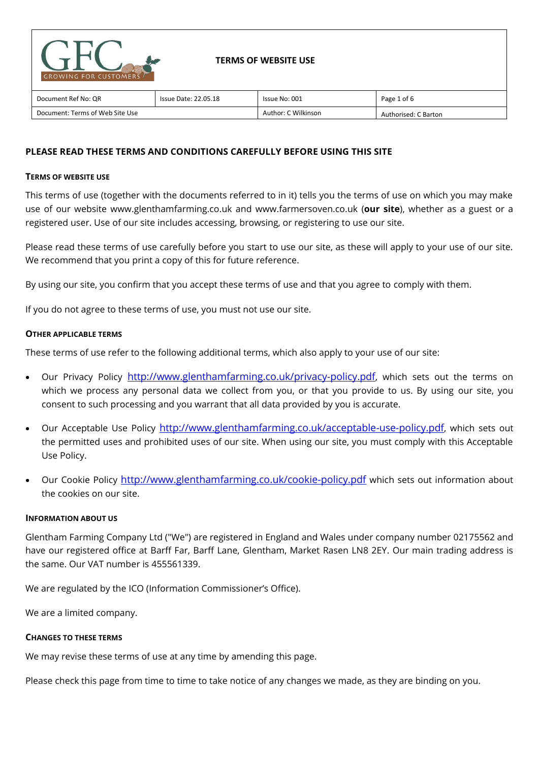

| Document Ref No: QR             | Issue Date: 22.05.18 | Issue No: 001       | Page 1 of 6          |
|---------------------------------|----------------------|---------------------|----------------------|
| Document: Terms of Web Site Use |                      | Author: C Wilkinson | Authorised: C Barton |

# **PLEASE READ THESE TERMS AND CONDITIONS CAREFULLY BEFORE USING THIS SITE**

#### **TERMS OF WEBSITE USE**

This terms of use (together with the documents referred to in it) tells you the terms of use on which you may make use of our website www.glenthamfarming.co.uk and www.farmersoven.co.uk (**our site**), whether as a guest or a registered user. Use of our site includes accessing, browsing, or registering to use our site.

Please read these terms of use carefully before you start to use our site, as these will apply to your use of our site. We recommend that you print a copy of this for future reference.

By using our site, you confirm that you accept these terms of use and that you agree to comply with them.

If you do not agree to these terms of use, you must not use our site.

#### **OTHER APPLICABLE TERMS**

These terms of use refer to the following additional terms, which also apply to your use of our site:

- Our Privacy Policy <http://www.glenthamfarming.co.uk/privacy-policy.pdf>, which sets out the terms on which we process any personal data we collect from you, or that you provide to us. By using our site, you consent to such processing and you warrant that all data provided by you is accurate.
- Our Acceptable Use Policy <http://www.glenthamfarming.co.uk/acceptable-use-policy.pdf>, which sets out the permitted uses and prohibited uses of our site. When using our site, you must comply with this Acceptable Use Policy.
- Our Cookie Policy <http://www.glenthamfarming.co.uk/cookie-policy.pdf> which sets out information about the cookies on our site.

## **INFORMATION ABOUT US**

Glentham Farming Company Ltd ("We") are registered in England and Wales under company number 02175562 and have our registered office at Barff Far, Barff Lane, Glentham, Market Rasen LN8 2EY. Our main trading address is the same. Our VAT number is 455561339.

We are regulated by the ICO (Information Commissioner's Office).

We are a limited company.

## **CHANGES TO THESE TERMS**

We may revise these terms of use at any time by amending this page.

Please check this page from time to time to take notice of any changes we made, as they are binding on you.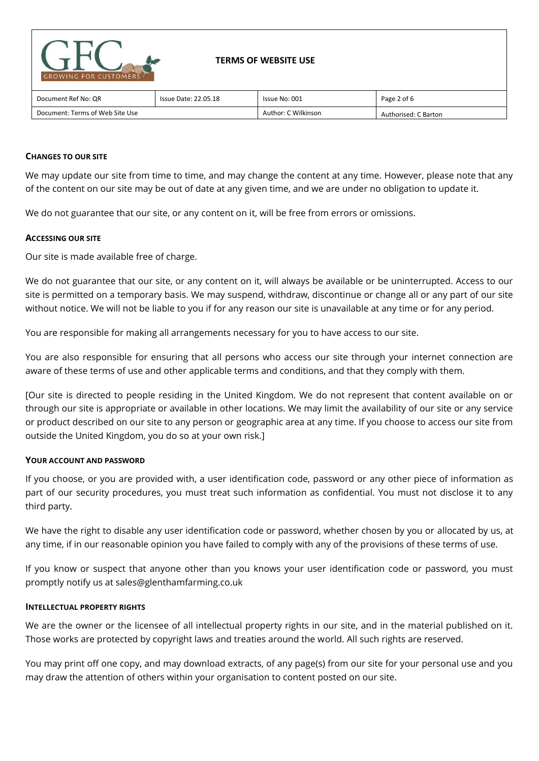

| Document Ref No: QR             | Issue Date: 22.05.18 | Issue No: 001       | Page 2 of 6          |
|---------------------------------|----------------------|---------------------|----------------------|
| Document: Terms of Web Site Use |                      | Author: C Wilkinson | Authorised: C Barton |

#### **CHANGES TO OUR SITE**

We may update our site from time to time, and may change the content at any time. However, please note that any of the content on our site may be out of date at any given time, and we are under no obligation to update it.

We do not guarantee that our site, or any content on it, will be free from errors or omissions.

#### **ACCESSING OUR SITE**

Our site is made available free of charge.

We do not guarantee that our site, or any content on it, will always be available or be uninterrupted. Access to our site is permitted on a temporary basis. We may suspend, withdraw, discontinue or change all or any part of our site without notice. We will not be liable to you if for any reason our site is unavailable at any time or for any period.

You are responsible for making all arrangements necessary for you to have access to our site.

You are also responsible for ensuring that all persons who access our site through your internet connection are aware of these terms of use and other applicable terms and conditions, and that they comply with them.

[Our site is directed to people residing in the United Kingdom. We do not represent that content available on or through our site is appropriate or available in other locations. We may limit the availability of our site or any service or product described on our site to any person or geographic area at any time. If you choose to access our site from outside the United Kingdom, you do so at your own risk.]

## **YOUR ACCOUNT AND PASSWORD**

If you choose, or you are provided with, a user identification code, password or any other piece of information as part of our security procedures, you must treat such information as confidential. You must not disclose it to any third party.

We have the right to disable any user identification code or password, whether chosen by you or allocated by us, at any time, if in our reasonable opinion you have failed to comply with any of the provisions of these terms of use.

If you know or suspect that anyone other than you knows your user identification code or password, you must promptly notify us at sales@glenthamfarming.co.uk

## **INTELLECTUAL PROPERTY RIGHTS**

We are the owner or the licensee of all intellectual property rights in our site, and in the material published on it. Those works are protected by copyright laws and treaties around the world. All such rights are reserved.

You may print off one copy, and may download extracts, of any page(s) from our site for your personal use and you may draw the attention of others within your organisation to content posted on our site.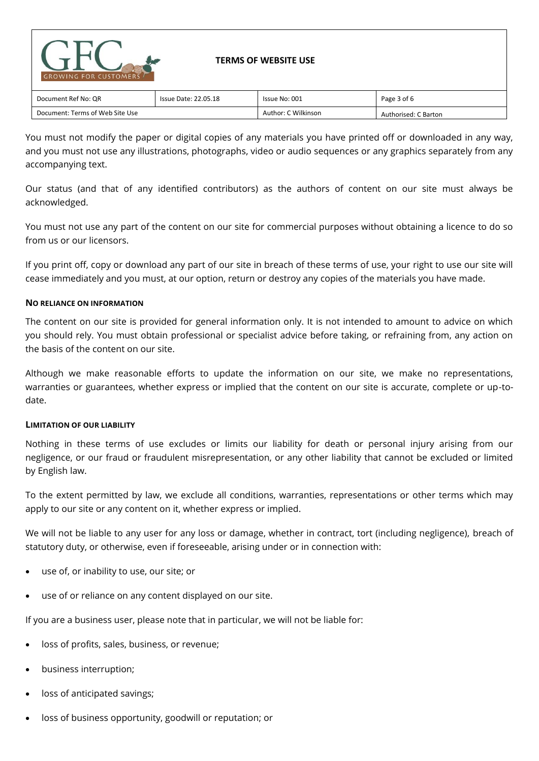

#### **TERMS OF WEBSITE USE**

| Document Ref No: QR             | Issue Date: 22.05.18 | Issue No: 001       | Page 3 of 6          |
|---------------------------------|----------------------|---------------------|----------------------|
| Document: Terms of Web Site Use |                      | Author: C Wilkinson | Authorised: C Barton |

You must not modify the paper or digital copies of any materials you have printed off or downloaded in any way, and you must not use any illustrations, photographs, video or audio sequences or any graphics separately from any accompanying text.

Our status (and that of any identified contributors) as the authors of content on our site must always be acknowledged.

You must not use any part of the content on our site for commercial purposes without obtaining a licence to do so from us or our licensors.

If you print off, copy or download any part of our site in breach of these terms of use, your right to use our site will cease immediately and you must, at our option, return or destroy any copies of the materials you have made.

## **NO RELIANCE ON INFORMATION**

The content on our site is provided for general information only. It is not intended to amount to advice on which you should rely. You must obtain professional or specialist advice before taking, or refraining from, any action on the basis of the content on our site.

Although we make reasonable efforts to update the information on our site, we make no representations, warranties or guarantees, whether express or implied that the content on our site is accurate, complete or up-todate.

## **LIMITATION OF OUR LIABILITY**

Nothing in these terms of use excludes or limits our liability for death or personal injury arising from our negligence, or our fraud or fraudulent misrepresentation, or any other liability that cannot be excluded or limited by English law.

To the extent permitted by law, we exclude all conditions, warranties, representations or other terms which may apply to our site or any content on it, whether express or implied.

We will not be liable to any user for any loss or damage, whether in contract, tort (including negligence), breach of statutory duty, or otherwise, even if foreseeable, arising under or in connection with:

- use of, or inability to use, our site; or
- use of or reliance on any content displayed on our site.

If you are a business user, please note that in particular, we will not be liable for:

- loss of profits, sales, business, or revenue;
- business interruption;
- loss of anticipated savings;
- loss of business opportunity, goodwill or reputation; or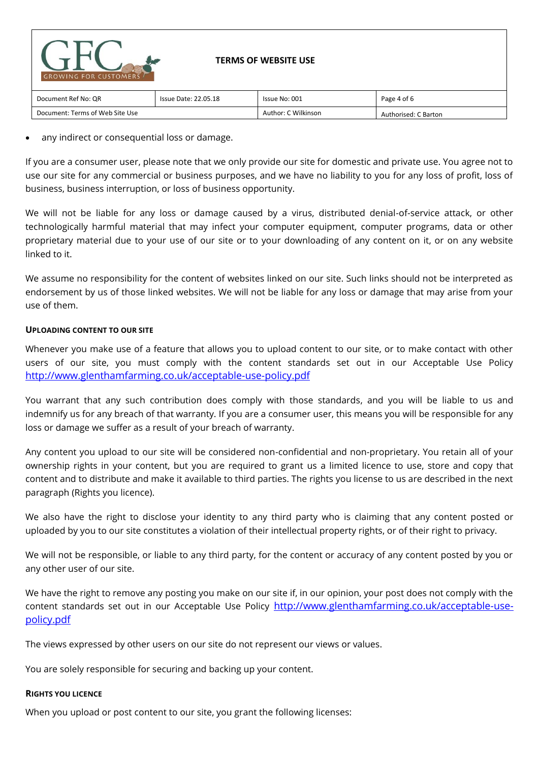| <b>TERMS OF WEBSITE USE</b><br><b>GROWING FOR CUSTOMERS</b> |                             |                     |                      |  |
|-------------------------------------------------------------|-----------------------------|---------------------|----------------------|--|
| Document Ref No: QR                                         | <b>Issue Date: 22.05.18</b> | Issue No: 001       | Page 4 of 6          |  |
| Document: Terms of Web Site Use                             |                             | Author: C Wilkinson | Authorised: C Barton |  |

any indirect or consequential loss or damage.

If you are a consumer user, please note that we only provide our site for domestic and private use. You agree not to use our site for any commercial or business purposes, and we have no liability to you for any loss of profit, loss of business, business interruption, or loss of business opportunity.

We will not be liable for any loss or damage caused by a virus, distributed denial-of-service attack, or other technologically harmful material that may infect your computer equipment, computer programs, data or other proprietary material due to your use of our site or to your downloading of any content on it, or on any website linked to it.

We assume no responsibility for the content of websites linked on our site. Such links should not be interpreted as endorsement by us of those linked websites. We will not be liable for any loss or damage that may arise from your use of them.

# **UPLOADING CONTENT TO OUR SITE**

Whenever you make use of a feature that allows you to upload content to our site, or to make contact with other users of our site, you must comply with the content standards set out in our Acceptable Use Policy <http://www.glenthamfarming.co.uk/acceptable-use-policy.pdf>

You warrant that any such contribution does comply with those standards, and you will be liable to us and indemnify us for any breach of that warranty. If you are a consumer user, this means you will be responsible for any loss or damage we suffer as a result of your breach of warranty.

Any content you upload to our site will be considered non-confidential and non-proprietary. You retain all of your ownership rights in your content, but you are required to grant us a limited licence to use, store and copy that content and to distribute and make it available to third parties. The rights you license to us are described in the next paragraph (Rights you licence).

We also have the right to disclose your identity to any third party who is claiming that any content posted or uploaded by you to our site constitutes a violation of their intellectual property rights, or of their right to privacy.

We will not be responsible, or liable to any third party, for the content or accuracy of any content posted by you or any other user of our site.

We have the right to remove any posting you make on our site if, in our opinion, your post does not comply with the content standards set out in our Acceptable Use Policy [http://www.glenthamfarming.co.uk/acceptable-use](http://www.glenthamfarming.co.uk/acceptable-use-policy.pdf)[policy.pdf](http://www.glenthamfarming.co.uk/acceptable-use-policy.pdf)

The views expressed by other users on our site do not represent our views or values.

You are solely responsible for securing and backing up your content.

# **RIGHTS YOU LICENCE**

When you upload or post content to our site, you grant the following licenses: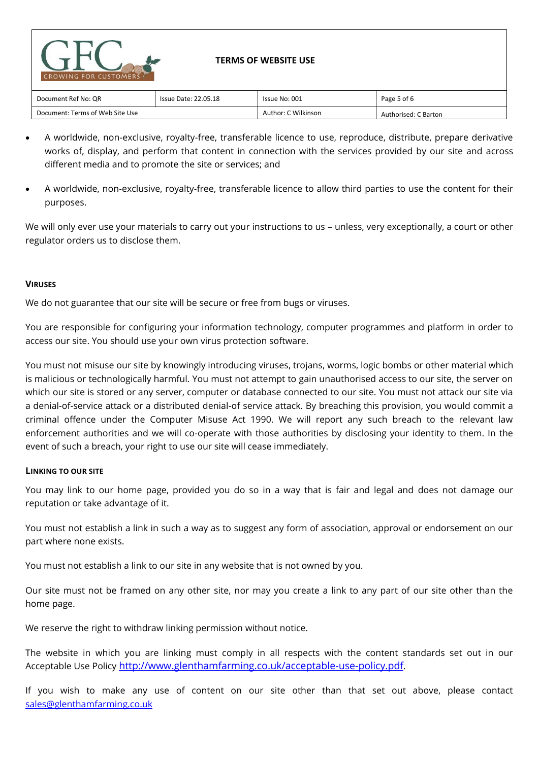

#### **TERMS OF WEBSITE USE**

| Document Ref No: QR             | Issue Date: 22.05.18 | Issue No: 001       | Page 5 of 6          |
|---------------------------------|----------------------|---------------------|----------------------|
| Document: Terms of Web Site Use |                      | Author: C Wilkinson | Authorised: C Barton |

- A worldwide, non-exclusive, royalty-free, transferable licence to use, reproduce, distribute, prepare derivative works of, display, and perform that content in connection with the services provided by our site and across different media and to promote the site or services; and
- A worldwide, non-exclusive, royalty-free, transferable licence to allow third parties to use the content for their purposes.

We will only ever use your materials to carry out your instructions to us – unless, very exceptionally, a court or other regulator orders us to disclose them.

## **VIRUSES**

We do not guarantee that our site will be secure or free from bugs or viruses.

You are responsible for configuring your information technology, computer programmes and platform in order to access our site. You should use your own virus protection software.

You must not misuse our site by knowingly introducing viruses, trojans, worms, logic bombs or other material which is malicious or technologically harmful. You must not attempt to gain unauthorised access to our site, the server on which our site is stored or any server, computer or database connected to our site. You must not attack our site via a denial-of-service attack or a distributed denial-of service attack. By breaching this provision, you would commit a criminal offence under the Computer Misuse Act 1990. We will report any such breach to the relevant law enforcement authorities and we will co-operate with those authorities by disclosing your identity to them. In the event of such a breach, your right to use our site will cease immediately.

## **LINKING TO OUR SITE**

You may link to our home page, provided you do so in a way that is fair and legal and does not damage our reputation or take advantage of it.

You must not establish a link in such a way as to suggest any form of association, approval or endorsement on our part where none exists.

You must not establish a link to our site in any website that is not owned by you.

Our site must not be framed on any other site, nor may you create a link to any part of our site other than the home page.

We reserve the right to withdraw linking permission without notice.

The website in which you are linking must comply in all respects with the content standards set out in our Acceptable Use Policy <http://www.glenthamfarming.co.uk/acceptable-use-policy.pdf>.

If you wish to make any use of content on our site other than that set out above, please contact [sales@glenthamfarming.co.uk](mailto:sales@fizzco.co.uk)